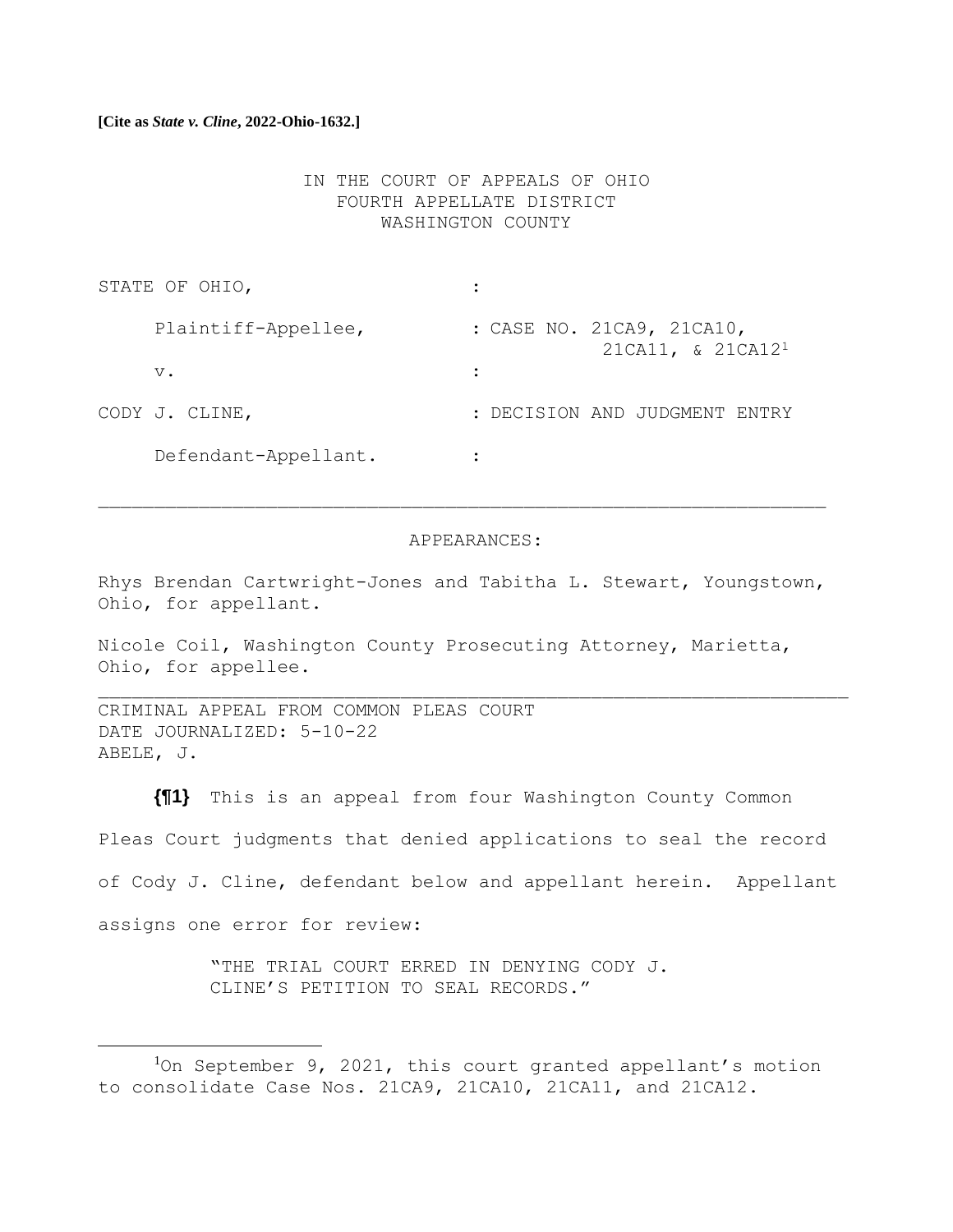# IN THE COURT OF APPEALS OF OHIO FOURTH APPELLATE DISTRICT WASHINGTON COUNTY

| STATE OF OHIO,       |                                                            |
|----------------------|------------------------------------------------------------|
| Plaintiff-Appellee,  | : CASE NO. 21CA9, 21CA10,<br>21CA11, & 21CA12 <sup>1</sup> |
| v.                   |                                                            |
| CODY J. CLINE,       | : DECISION AND JUDGMENT ENTRY                              |
| Defendant-Appellant. |                                                            |

#### APPEARANCES:

Rhys Brendan Cartwright-Jones and Tabitha L. Stewart, Youngstown, Ohio, for appellant.

Nicole Coil, Washington County Prosecuting Attorney, Marietta, Ohio, for appellee.

CRIMINAL APPEAL FROM COMMON PLEAS COURT DATE JOURNALIZED: 5-10-22 ABELE, J.

**{¶1}** This is an appeal from four Washington County Common Pleas Court judgments that denied applications to seal the record of Cody J. Cline, defendant below and appellant herein. Appellant assigns one error for review:

> "THE TRIAL COURT ERRED IN DENYING CODY J. CLINE'S PETITION TO SEAL RECORDS."

<sup>&</sup>lt;sup>1</sup>On September 9, 2021, this court granted appellant's motion to consolidate Case Nos. 21CA9, 21CA10, 21CA11, and 21CA12.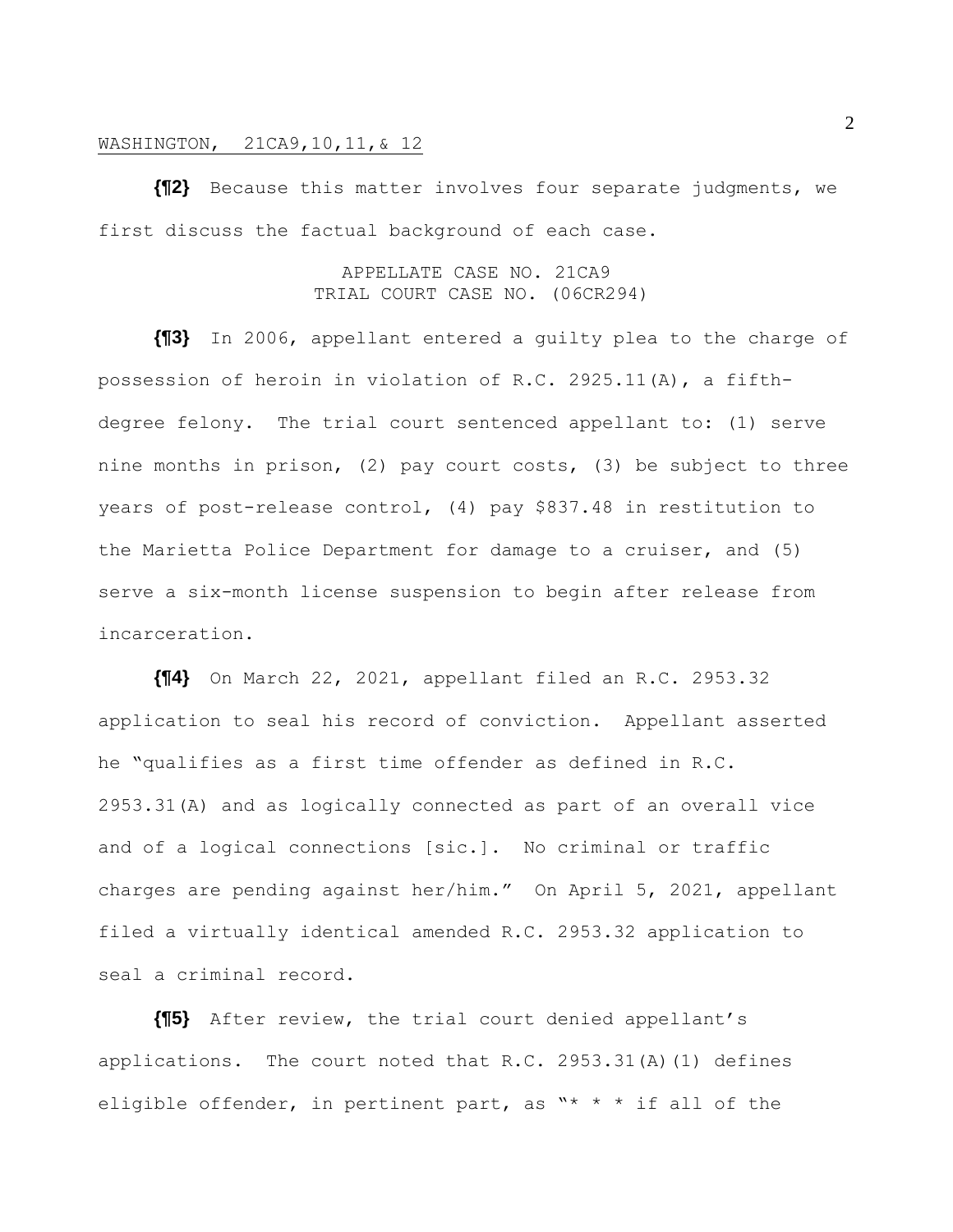**{¶2}** Because this matter involves four separate judgments, we first discuss the factual background of each case.

## APPELLATE CASE NO. 21CA9 TRIAL COURT CASE NO. (06CR294)

**{¶3}** In 2006, appellant entered a guilty plea to the charge of possession of heroin in violation of R.C. 2925.11(A), a fifthdegree felony. The trial court sentenced appellant to: (1) serve nine months in prison, (2) pay court costs, (3) be subject to three years of post-release control, (4) pay \$837.48 in restitution to the Marietta Police Department for damage to a cruiser, and (5) serve a six-month license suspension to begin after release from incarceration.

**{¶4}** On March 22, 2021, appellant filed an R.C. 2953.32 application to seal his record of conviction. Appellant asserted he "qualifies as a first time offender as defined in R.C. 2953.31(A) and as logically connected as part of an overall vice and of a logical connections [sic.]. No criminal or traffic charges are pending against her/him." On April 5, 2021, appellant filed a virtually identical amended R.C. 2953.32 application to seal a criminal record.

**{¶5}** After review, the trial court denied appellant's applications. The court noted that R.C. 2953.31(A)(1) defines eligible offender, in pertinent part, as "\* \* \* if all of the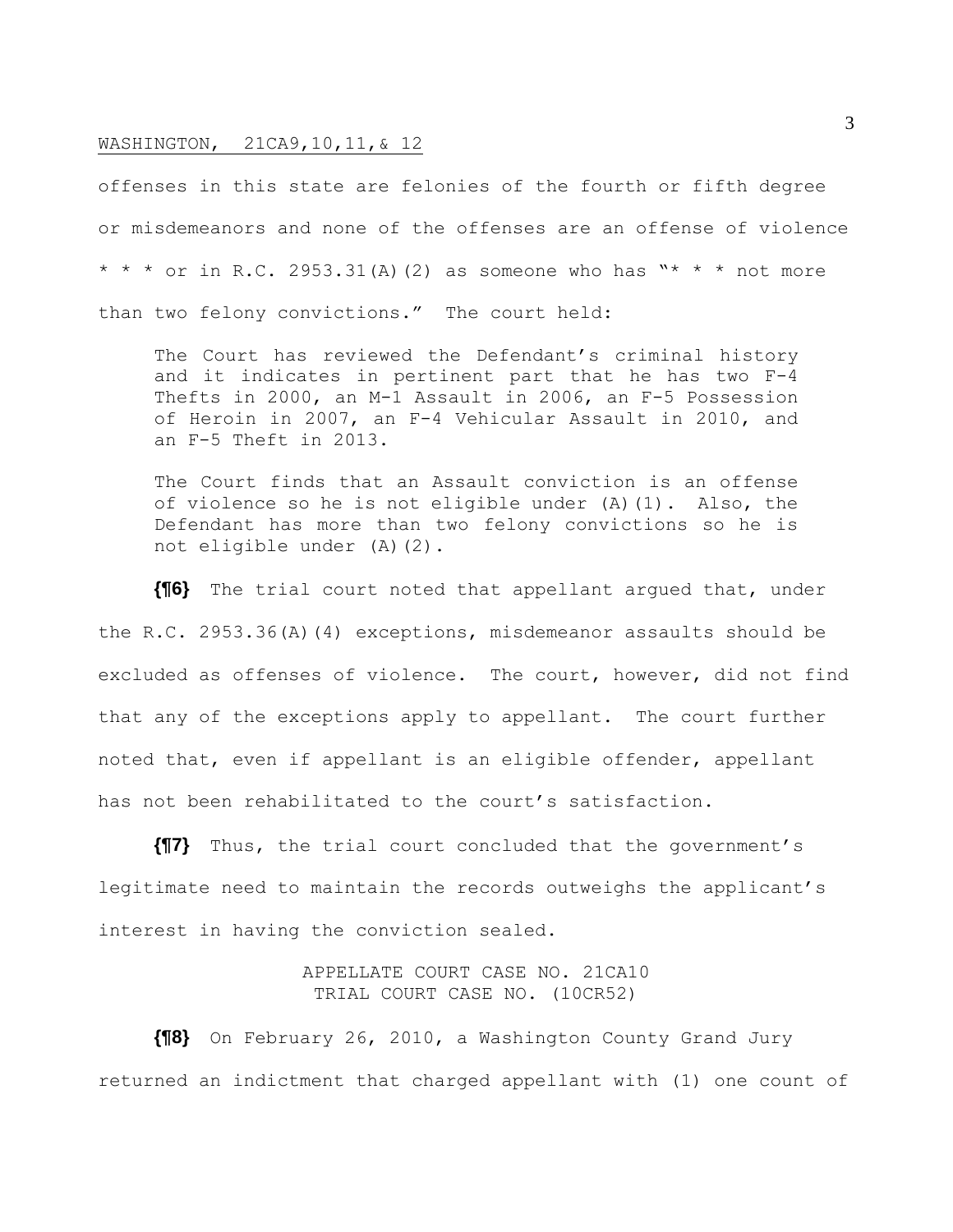offenses in this state are felonies of the fourth or fifth degree or misdemeanors and none of the offenses are an offense of violence \* \* \* or in R.C. 2953.31(A)(2) as someone who has "\* \* \* not more than two felony convictions." The court held:

The Court has reviewed the Defendant's criminal history and it indicates in pertinent part that he has two F-4 Thefts in 2000, an M-1 Assault in 2006, an F-5 Possession of Heroin in 2007, an F-4 Vehicular Assault in 2010, and an F-5 Theft in 2013.

The Court finds that an Assault conviction is an offense of violence so he is not eligible under (A)(1). Also, the Defendant has more than two felony convictions so he is not eligible under (A)(2).

**{¶6}** The trial court noted that appellant argued that, under the R.C. 2953.36(A)(4) exceptions, misdemeanor assaults should be excluded as offenses of violence. The court, however, did not find that any of the exceptions apply to appellant. The court further noted that, even if appellant is an eligible offender, appellant has not been rehabilitated to the court's satisfaction.

**{¶7}** Thus, the trial court concluded that the government's legitimate need to maintain the records outweighs the applicant's interest in having the conviction sealed.

> APPELLATE COURT CASE NO. 21CA10 TRIAL COURT CASE NO. (10CR52)

**{¶8}** On February 26, 2010, a Washington County Grand Jury returned an indictment that charged appellant with (1) one count of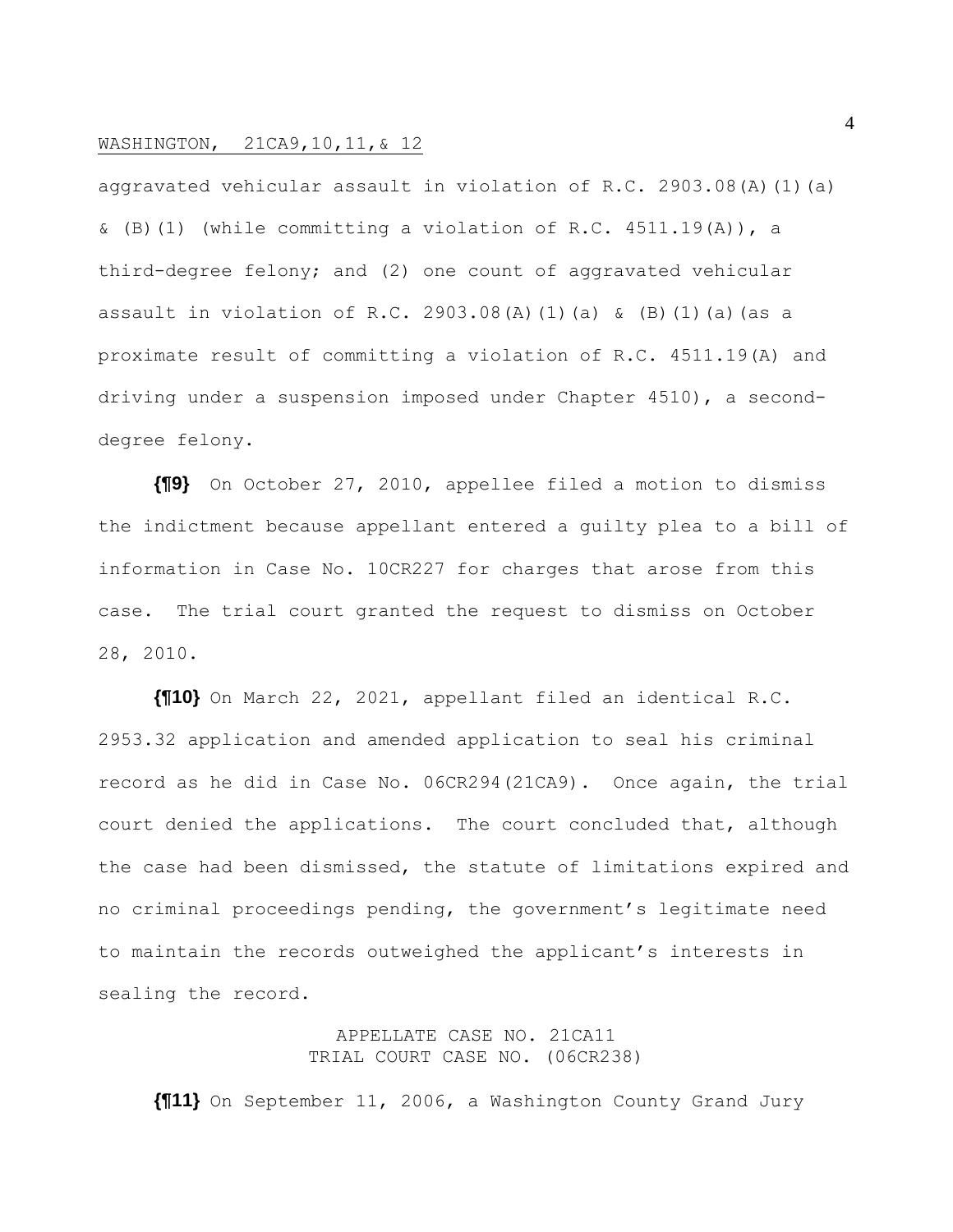aggravated vehicular assault in violation of R.C. 2903.08(A)(1)(a)  $\&$  (B)(1) (while committing a violation of R.C. 4511.19(A)), a third-degree felony; and (2) one count of aggravated vehicular assault in violation of R.C. 2903.08(A)(1)(a) & (B)(1)(a)(as a proximate result of committing a violation of R.C. 4511.19(A) and driving under a suspension imposed under Chapter 4510), a seconddegree felony.

**{¶9}** On October 27, 2010, appellee filed a motion to dismiss the indictment because appellant entered a guilty plea to a bill of information in Case No. 10CR227 for charges that arose from this case. The trial court granted the request to dismiss on October 28, 2010.

**{¶10}** On March 22, 2021, appellant filed an identical R.C. 2953.32 application and amended application to seal his criminal record as he did in Case No. 06CR294(21CA9). Once again, the trial court denied the applications. The court concluded that, although the case had been dismissed, the statute of limitations expired and no criminal proceedings pending, the government's legitimate need to maintain the records outweighed the applicant's interests in sealing the record.

## APPELLATE CASE NO. 21CA11 TRIAL COURT CASE NO. (06CR238)

**{¶11}** On September 11, 2006, a Washington County Grand Jury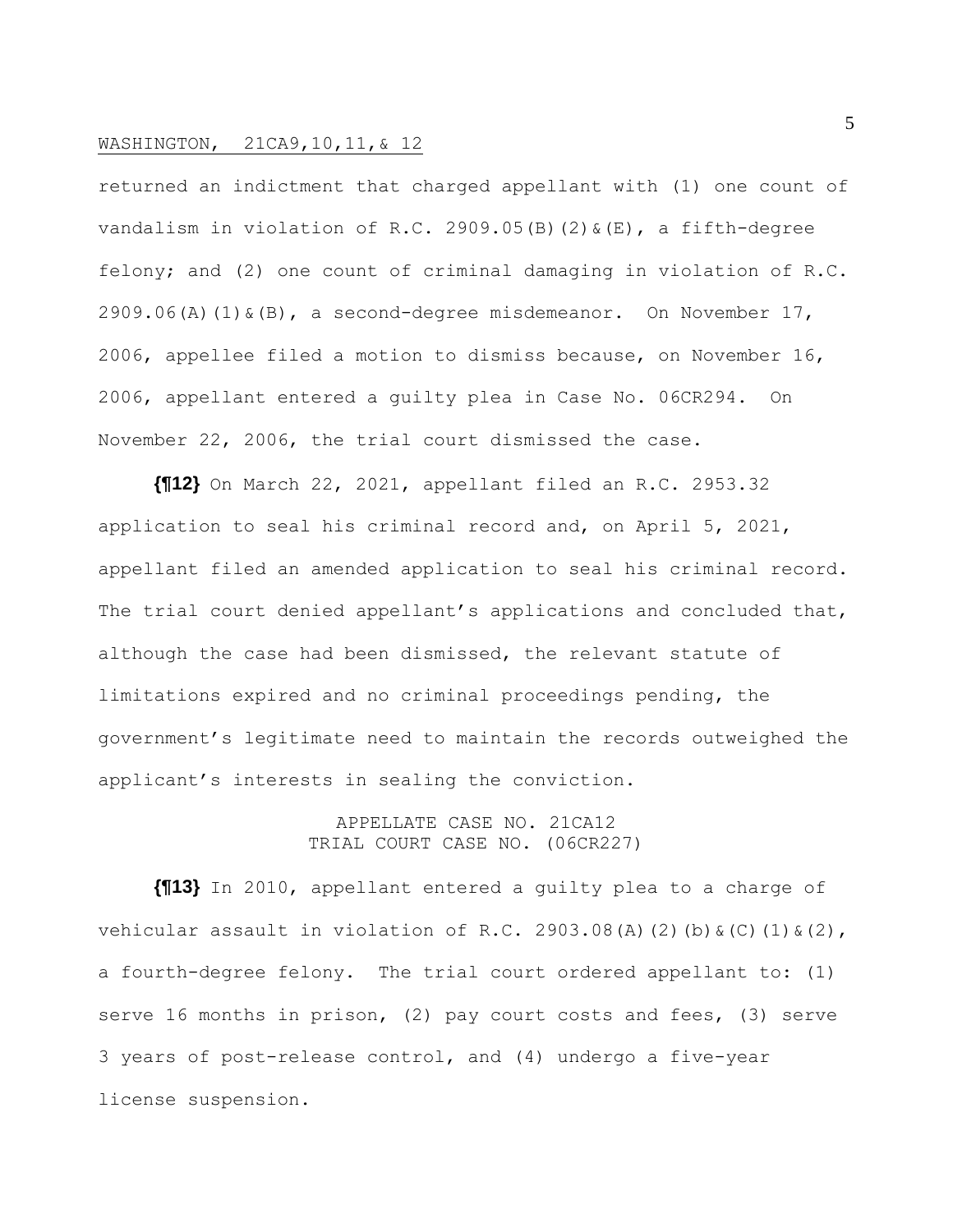returned an indictment that charged appellant with (1) one count of vandalism in violation of R.C. 2909.05(B)(2) & (E), a fifth-degree felony; and (2) one count of criminal damaging in violation of R.C.  $2909.06$ (A)(1) & (B), a second-degree misdemeanor. On November 17, 2006, appellee filed a motion to dismiss because, on November 16, 2006, appellant entered a guilty plea in Case No. 06CR294. On November 22, 2006, the trial court dismissed the case.

**{¶12}** On March 22, 2021, appellant filed an R.C. 2953.32 application to seal his criminal record and, on April 5, 2021, appellant filed an amended application to seal his criminal record. The trial court denied appellant's applications and concluded that, although the case had been dismissed, the relevant statute of limitations expired and no criminal proceedings pending, the government's legitimate need to maintain the records outweighed the applicant's interests in sealing the conviction.

## APPELLATE CASE NO. 21CA12 TRIAL COURT CASE NO. (06CR227)

**{¶13}** In 2010, appellant entered a guilty plea to a charge of vehicular assault in violation of R.C. 2903.08(A)(2)(b)  $\&(C)$ (1) $\&(2)$ , a fourth-degree felony. The trial court ordered appellant to: (1) serve 16 months in prison, (2) pay court costs and fees, (3) serve 3 years of post-release control, and (4) undergo a five-year license suspension.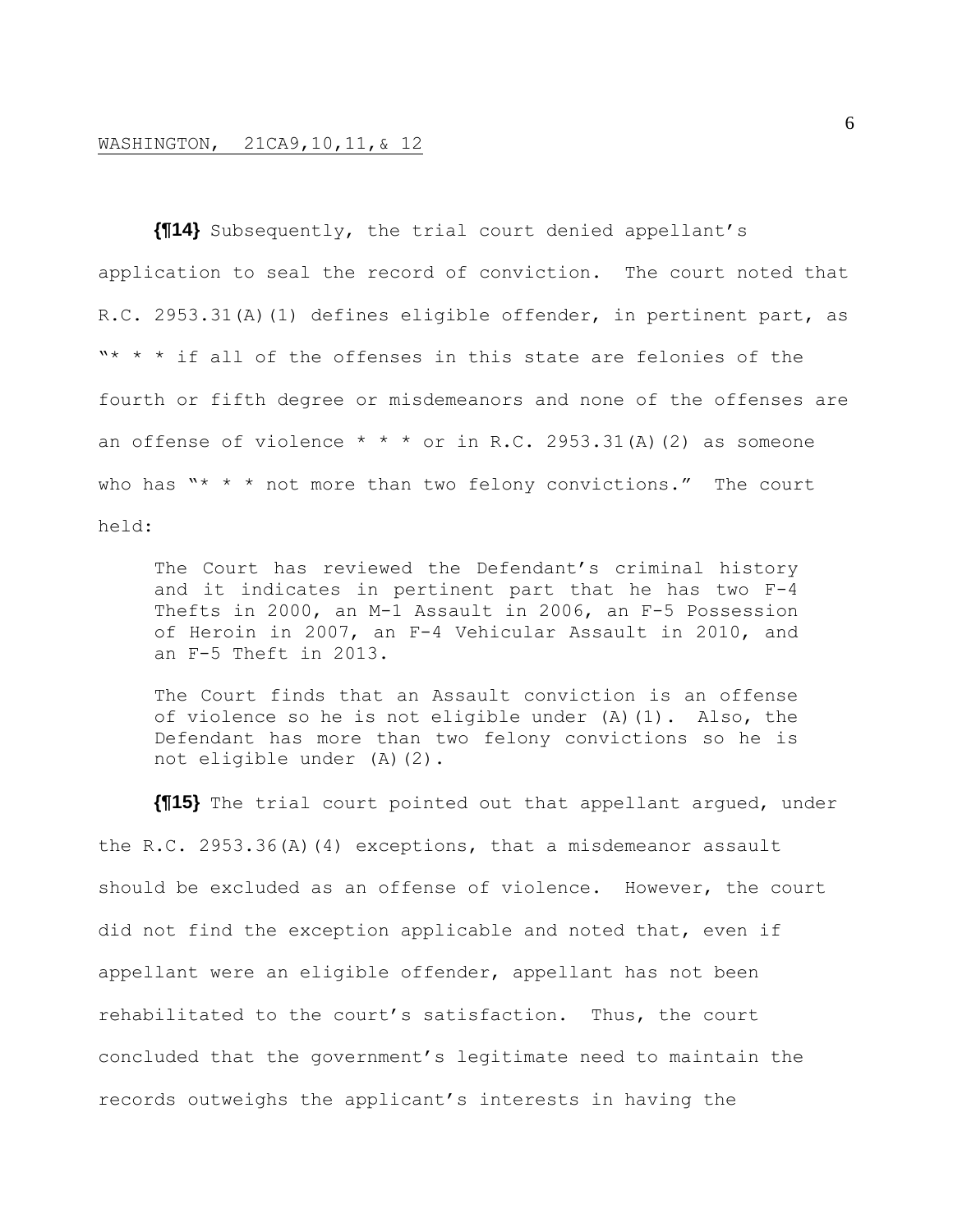**{¶14}** Subsequently, the trial court denied appellant's application to seal the record of conviction. The court noted that R.C. 2953.31(A)(1) defines eligible offender, in pertinent part, as  $***$  \* if all of the offenses in this state are felonies of the fourth or fifth degree or misdemeanors and none of the offenses are an offense of violence  $* * *$  or in R.C. 2953.31(A)(2) as someone who has  $"* * *$  not more than two felony convictions." The court held:

The Court has reviewed the Defendant's criminal history and it indicates in pertinent part that he has two F-4 Thefts in 2000, an M-1 Assault in 2006, an F-5 Possession of Heroin in 2007, an F-4 Vehicular Assault in 2010, and an F-5 Theft in 2013.

The Court finds that an Assault conviction is an offense of violence so he is not eligible under (A)(1). Also, the Defendant has more than two felony convictions so he is not eligible under (A)(2).

**{¶15}** The trial court pointed out that appellant argued, under the R.C. 2953.36(A)(4) exceptions, that a misdemeanor assault should be excluded as an offense of violence. However, the court did not find the exception applicable and noted that, even if appellant were an eligible offender, appellant has not been rehabilitated to the court's satisfaction. Thus, the court concluded that the government's legitimate need to maintain the records outweighs the applicant's interests in having the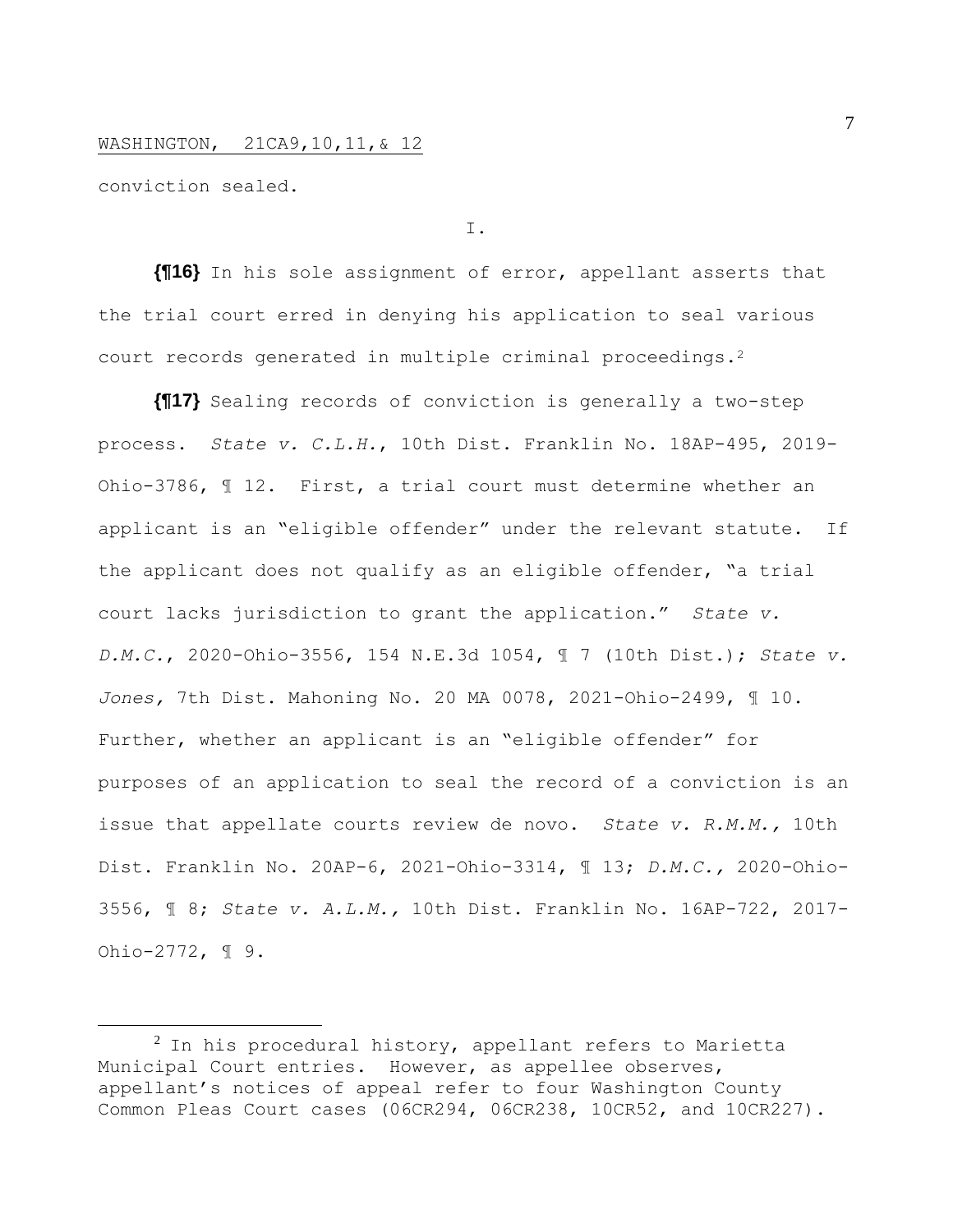conviction sealed.

I.

**{¶16}** In his sole assignment of error, appellant asserts that the trial court erred in denying his application to seal various court records generated in multiple criminal proceedings.<sup>2</sup>

**{¶17}** Sealing records of conviction is generally a two-step process. *State v. C.L.H.*, 10th Dist. Franklin No. 18AP-495, 2019- Ohio-3786, ¶ 12. First, a trial court must determine whether an applicant is an "eligible offender" under the relevant statute. If the applicant does not qualify as an eligible offender, "a trial court lacks jurisdiction to grant the application." *State v. D.M.C.*, 2020-Ohio-3556, 154 N.E.3d 1054, ¶ 7 (10th Dist.); *State v. Jones,* 7th Dist. Mahoning No. 20 MA 0078, 2021-Ohio-2499, ¶ 10. Further, whether an applicant is an "eligible offender" for purposes of an application to seal the record of a conviction is an issue that appellate courts review de novo. *State v. R.M.M.,* 10th Dist. Franklin No. 20AP-6, 2021-Ohio-3314, ¶ 13; *D.M.C.,* 2020-Ohio-3556, ¶ 8; *State v. A.L.M.,* 10th Dist. Franklin No. 16AP-722, 2017- Ohio-2772, ¶ 9.

 $^2$  In his procedural history, appellant refers to Marietta Municipal Court entries. However, as appellee observes, appellant's notices of appeal refer to four Washington County Common Pleas Court cases (06CR294, 06CR238, 10CR52, and 10CR227).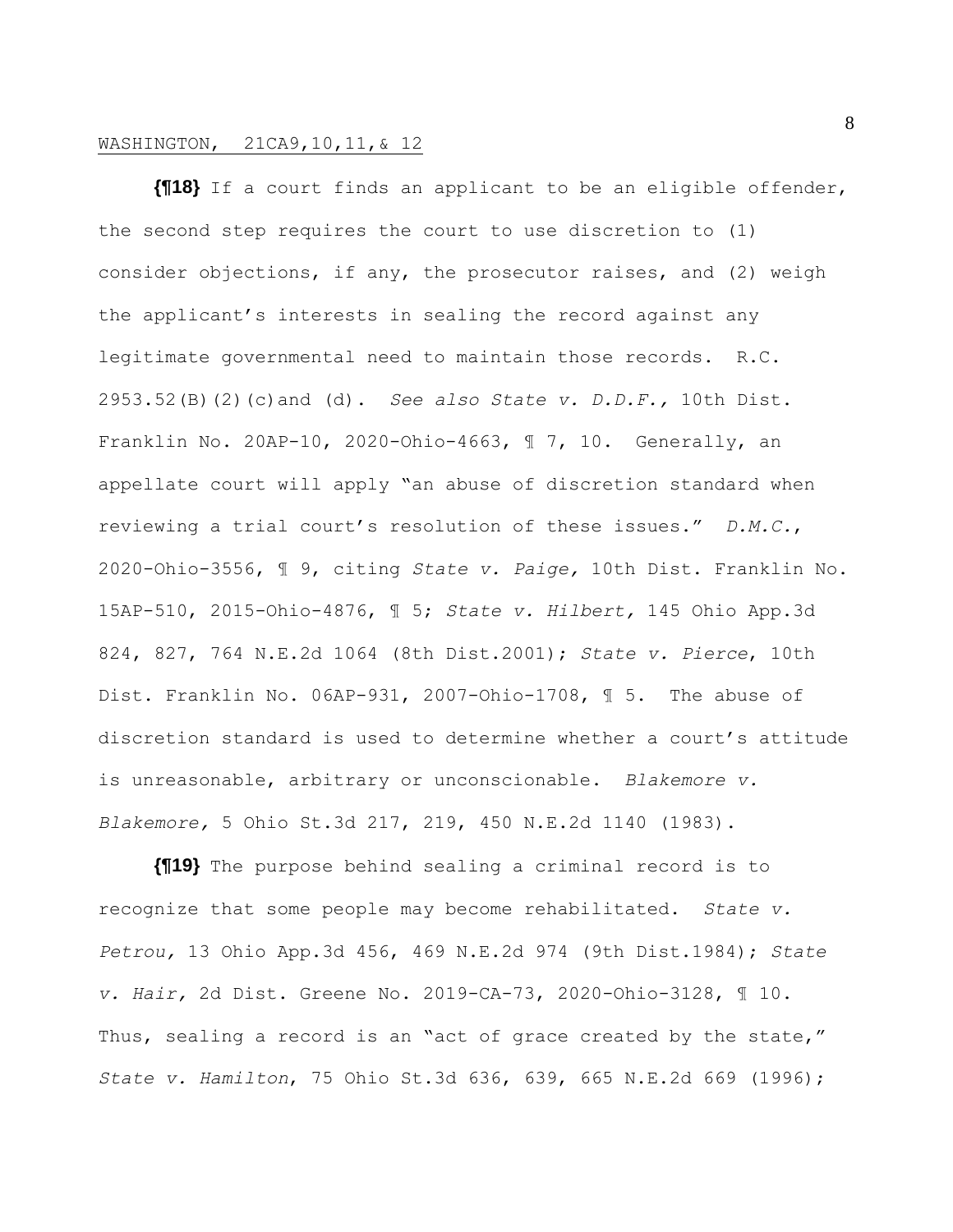**{¶18}** If a court finds an applicant to be an eligible offender, the second step requires the court to use discretion to (1) consider objections, if any, the prosecutor raises, and (2) weigh the applicant's interests in sealing the record against any legitimate governmental need to maintain those records. R.C. 2953.52(B)(2)(c)and (d). *See also State v. D.D.F.,* 10th Dist. Franklin No. 20AP-10, 2020-Ohio-4663, ¶ 7, 10. Generally, an appellate court will apply "an abuse of discretion standard when reviewing a trial court's resolution of these issues." *D.M.C.*, 2020-Ohio-3556, ¶ 9, citing *State v. Paige,* 10th Dist. Franklin No. 15AP-510, 2015-Ohio-4876, ¶ 5; *State v. Hilbert,* 145 Ohio App.3d 824, 827, 764 N.E.2d 1064 (8th Dist.2001); *State v. Pierce*, 10th Dist. Franklin No. 06AP-931, 2007-Ohio-1708, ¶ 5. The abuse of discretion standard is used to determine whether a court's attitude is unreasonable, arbitrary or unconscionable. *Blakemore v. Blakemore,* 5 Ohio St.3d 217, 219, 450 N.E.2d 1140 (1983).

**{¶19}** The purpose behind sealing a criminal record is to recognize that some people may become rehabilitated. *State v. Petrou,* 13 Ohio App.3d 456, 469 N.E.2d 974 (9th Dist.1984); *State v. Hair,* 2d Dist. Greene No. 2019-CA-73, 2020-Ohio-3128, ¶ 10. Thus, sealing a record is an "act of grace created by the state," *State v. Hamilton*, 75 Ohio St.3d 636, 639, 665 N.E.2d 669 (1996);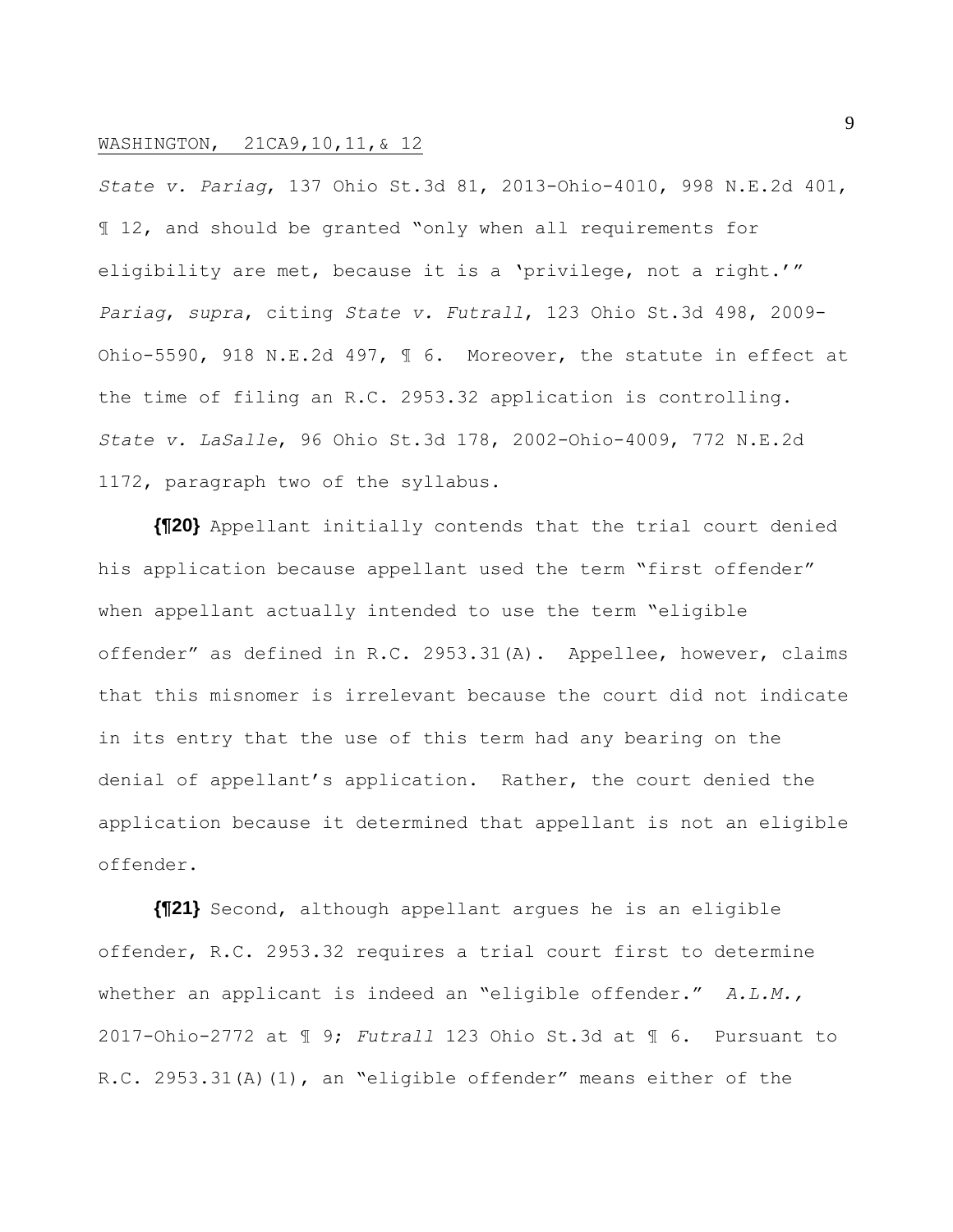*State v. Pariag*, 137 Ohio St.3d 81, 2013-Ohio-4010, 998 N.E.2d 401, ¶ 12, and should be granted "only when all requirements for eligibility are met, because it is a 'privilege, not a right.'" *Pariag*, *supra*, citing *State v. Futrall*, 123 Ohio St.3d 498, 2009- Ohio-5590, 918 N.E.2d 497, ¶ 6. Moreover, the statute in effect at the time of filing an R.C. 2953.32 application is controlling. *State v. LaSalle*, 96 Ohio St.3d 178, 2002-Ohio-4009, 772 N.E.2d 1172, paragraph two of the syllabus.

**{¶20}** Appellant initially contends that the trial court denied his application because appellant used the term "first offender" when appellant actually intended to use the term "eligible offender" as defined in R.C. 2953.31(A). Appellee, however, claims that this misnomer is irrelevant because the court did not indicate in its entry that the use of this term had any bearing on the denial of appellant's application. Rather, the court denied the application because it determined that appellant is not an eligible offender.

**{¶21}** Second, although appellant argues he is an eligible offender, R.C. 2953.32 requires a trial court first to determine whether an applicant is indeed an "eligible offender." *A.L.M.,*  2017-Ohio-2772 at ¶ 9; *Futrall* 123 Ohio St.3d at ¶ 6. Pursuant to R.C. 2953.31(A)(1), an "eligible offender" means either of the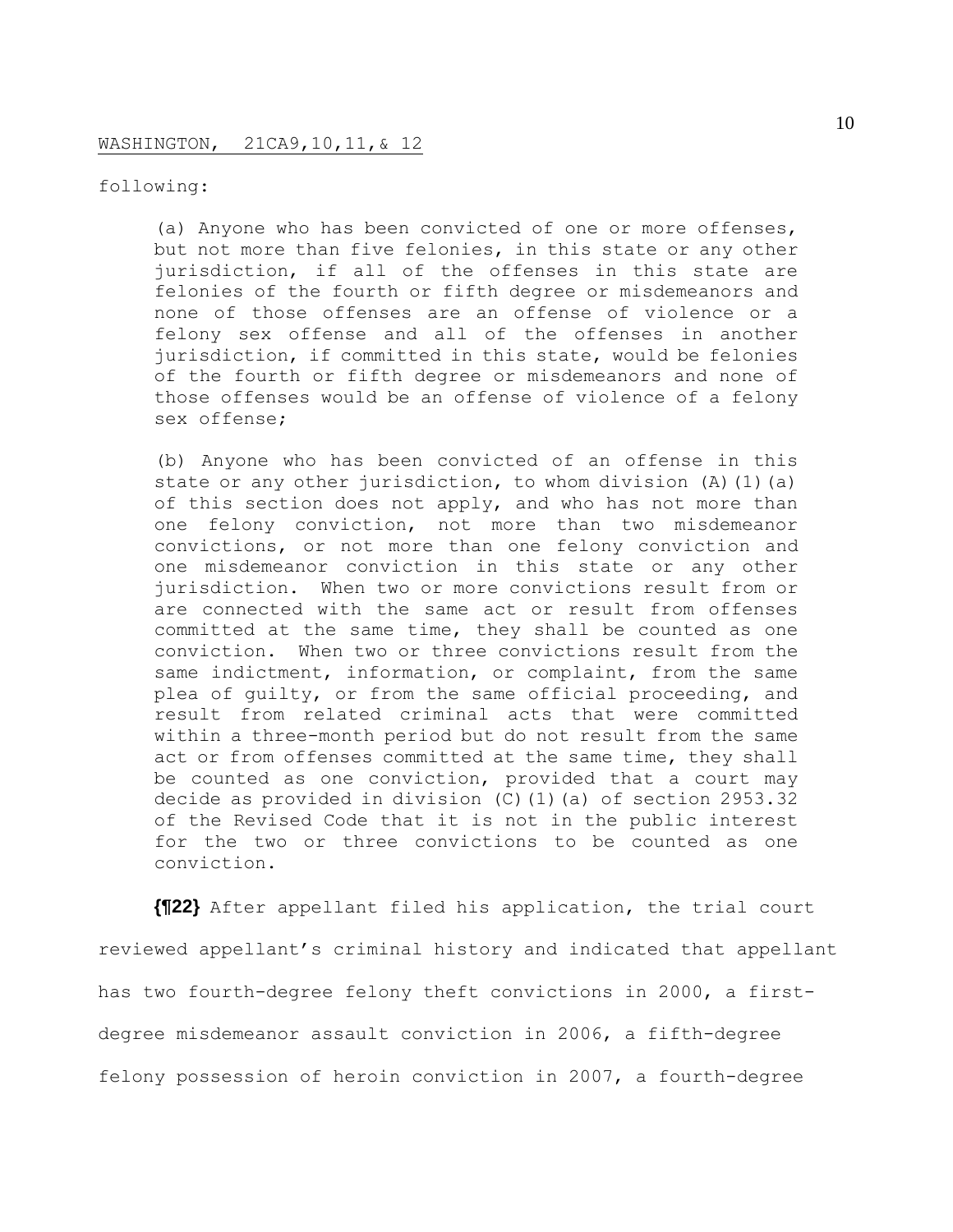## following:

(a) Anyone who has been convicted of one or more offenses, but not more than five felonies, in this state or any other jurisdiction, if all of the offenses in this state are felonies of the fourth or fifth degree or misdemeanors and none of those offenses are an offense of violence or a felony sex offense and all of the offenses in another jurisdiction, if committed in this state, would be felonies of the fourth or fifth degree or misdemeanors and none of those offenses would be an offense of violence of a felony sex offense;

(b) Anyone who has been convicted of an offense in this state or any other jurisdiction, to whom division  $(A)$   $(1)$   $(a)$ of this section does not apply, and who has not more than one felony conviction, not more than two misdemeanor convictions, or not more than one felony conviction and one misdemeanor conviction in this state or any other jurisdiction. When two or more convictions result from or are connected with the same act or result from offenses committed at the same time, they shall be counted as one conviction. When two or three convictions result from the same indictment, information, or complaint, from the same plea of guilty, or from the same official proceeding, and result from related criminal acts that were committed within a three-month period but do not result from the same act or from offenses committed at the same time, they shall be counted as one conviction, provided that a court may decide as provided in division (C)(1)(a) of section 2953.32 of the Revised Code that it is not in the public interest for the two or three convictions to be counted as one conviction.

**{¶22}** After appellant filed his application, the trial court reviewed appellant's criminal history and indicated that appellant has two fourth-degree felony theft convictions in 2000, a firstdegree misdemeanor assault conviction in 2006, a fifth-degree felony possession of heroin conviction in 2007, a fourth-degree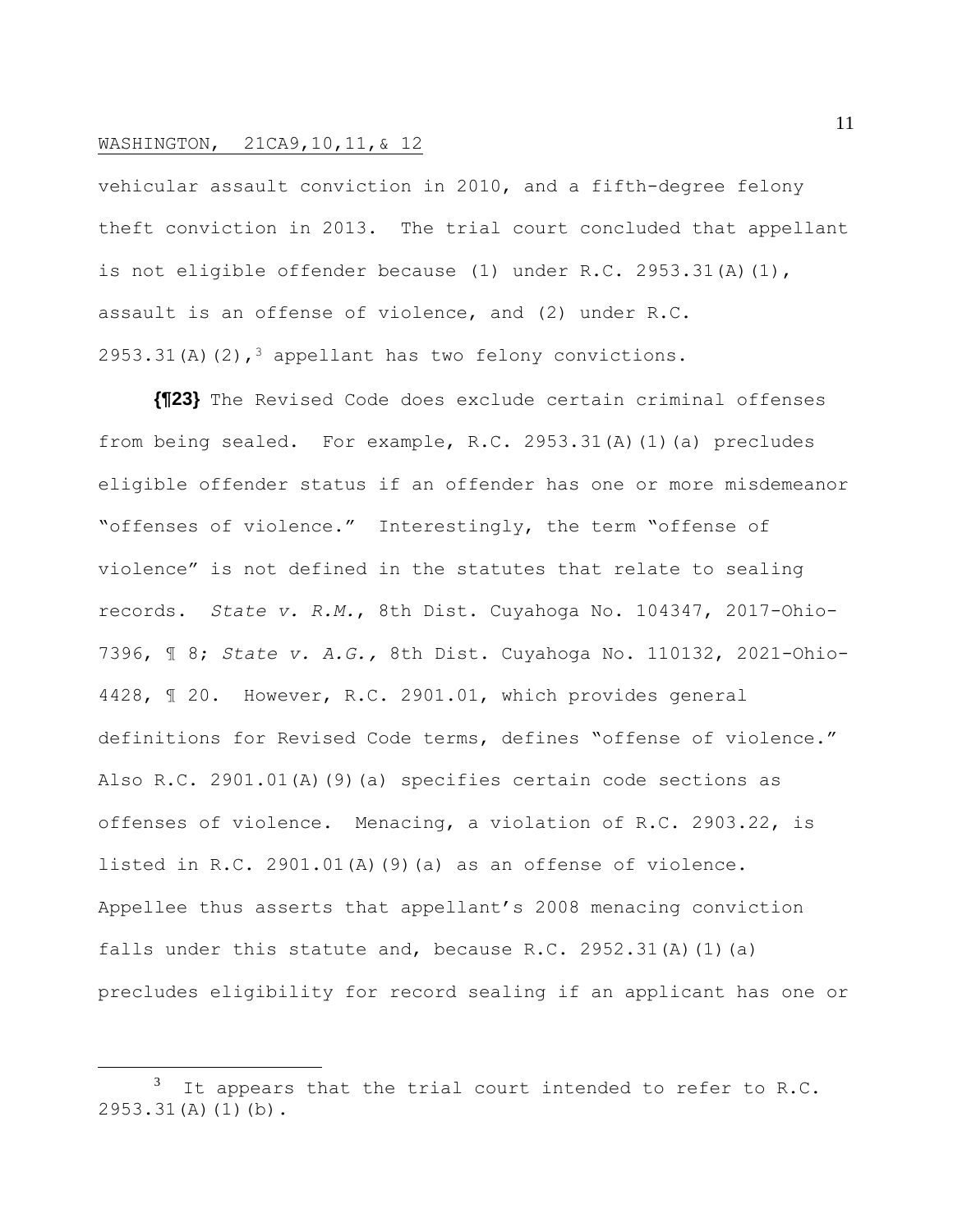vehicular assault conviction in 2010, and a fifth-degree felony theft conviction in 2013. The trial court concluded that appellant is not eligible offender because  $(1)$  under R.C. 2953.31 $(A)$  $(1)$ , assault is an offense of violence, and (2) under R.C. 2953.31(A)(2),<sup>3</sup> appellant has two felony convictions.

**{¶23}** The Revised Code does exclude certain criminal offenses from being sealed. For example, R.C. 2953.31(A)(1)(a) precludes eligible offender status if an offender has one or more misdemeanor "offenses of violence." Interestingly, the term "offense of violence" is not defined in the statutes that relate to sealing records. *State v. R.M.*, 8th Dist. Cuyahoga No. 104347, 2017-Ohio-7396, ¶ 8; *State v. A.G.,* 8th Dist. Cuyahoga No. 110132, 2021-Ohio-4428, ¶ 20. However, R.C. 2901.01, which provides general definitions for Revised Code terms, defines "offense of violence." Also R.C. 2901.01(A)(9)(a) specifies certain code sections as offenses of violence. Menacing, a violation of R.C. 2903.22, is listed in R.C. 2901.01(A)(9)(a) as an offense of violence. Appellee thus asserts that appellant's 2008 menacing conviction falls under this statute and, because R.C. 2952.31(A)(1)(a) precludes eligibility for record sealing if an applicant has one or

It appears that the trial court intended to refer to R.C. 2953.31(A)(1)(b).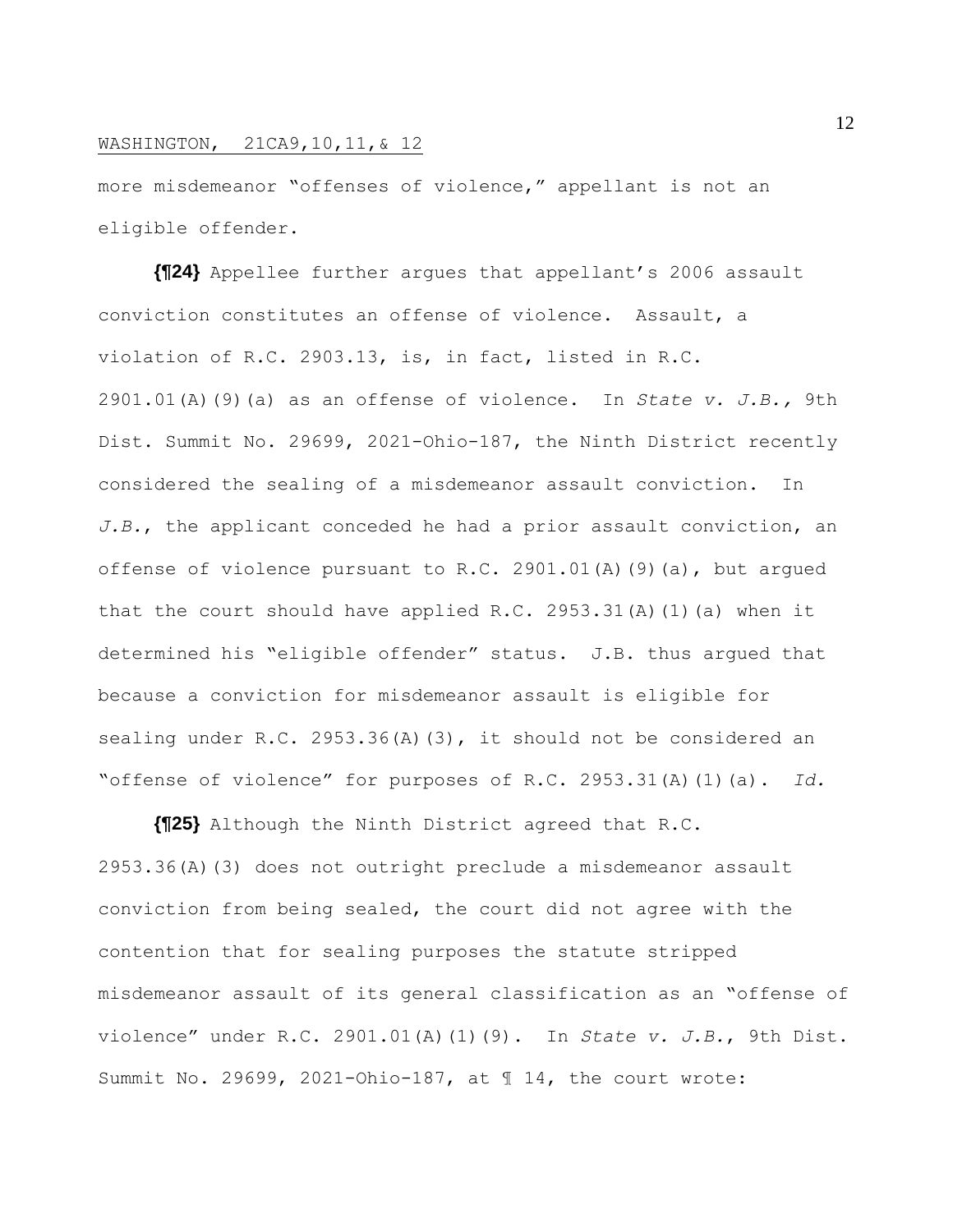more misdemeanor "offenses of violence," appellant is not an eligible offender.

**{¶24}** Appellee further argues that appellant's 2006 assault conviction constitutes an offense of violence. Assault, a violation of R.C. 2903.13, is, in fact, listed in R.C. 2901.01(A)(9)(a) as an offense of violence. In *State v. J.B.,* 9th Dist. Summit No. 29699, 2021-Ohio-187, the Ninth District recently considered the sealing of a misdemeanor assault conviction. In *J.B.*, the applicant conceded he had a prior assault conviction, an offense of violence pursuant to R.C. 2901.01(A)(9)(a), but argued that the court should have applied R.C. 2953.31(A)(1)(a) when it determined his "eligible offender" status. J.B. thus argued that because a conviction for misdemeanor assault is eligible for sealing under R.C. 2953.36(A)(3), it should not be considered an "offense of violence" for purposes of R.C. 2953.31(A)(1)(a). *Id.*

**{¶25}** Although the Ninth District agreed that R.C. 2953.36(A)(3) does not outright preclude a misdemeanor assault conviction from being sealed, the court did not agree with the contention that for sealing purposes the statute stripped misdemeanor assault of its general classification as an "offense of violence" under R.C. 2901.01(A)(1)(9). In *State v. J.B.*, 9th Dist. Summit No. 29699, 2021-Ohio-187, at ¶ 14, the court wrote: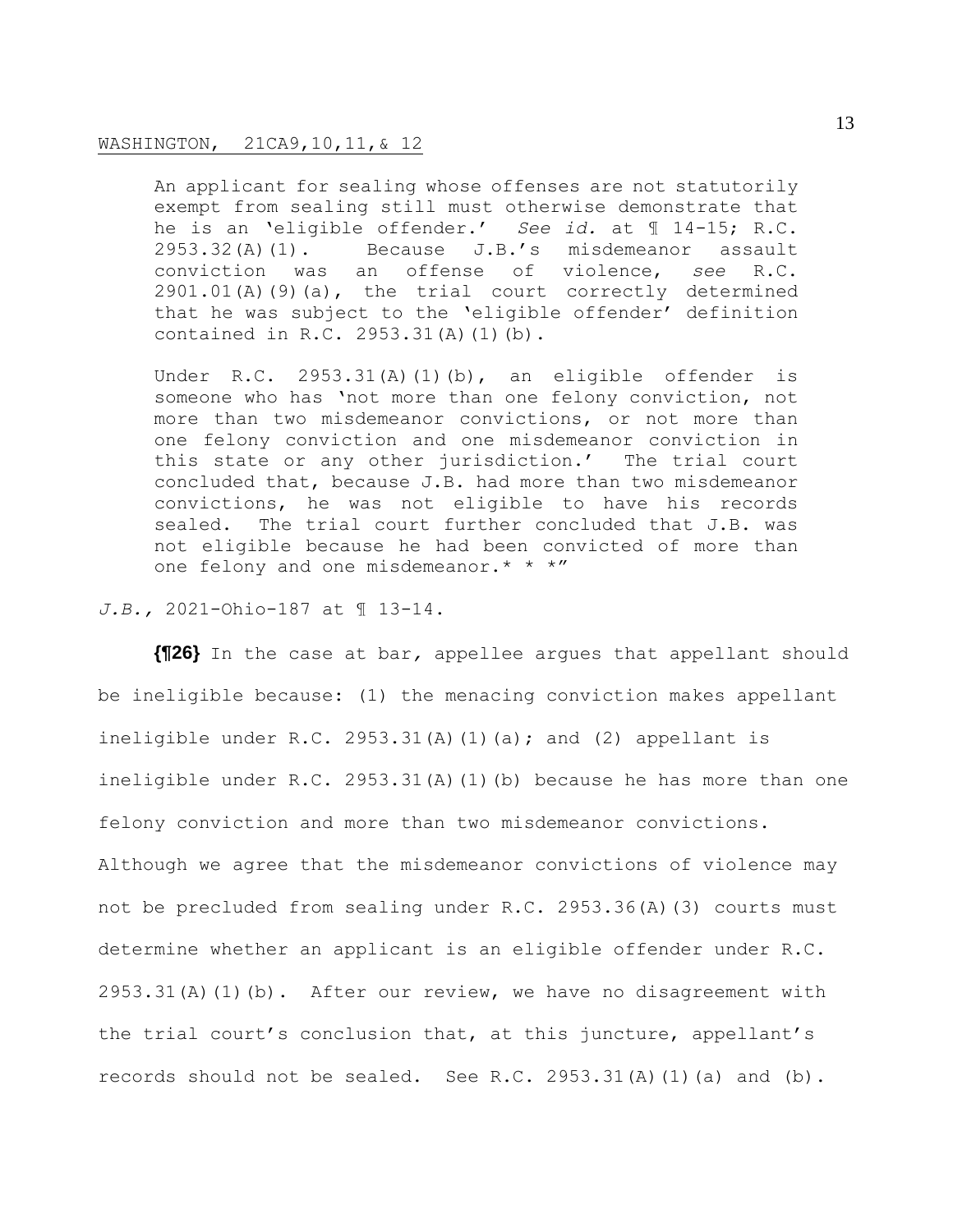An applicant for sealing whose offenses are not statutorily exempt from sealing still must otherwise demonstrate that he is an 'eligible offender.' *See id.* at ¶ 14-15; R.C. 2953.32(A)(1). Because J.B.'s misdemeanor assault conviction was an offense of violence, *see* R.C. 2901.01(A)(9)(a), the trial court correctly determined that he was subject to the 'eligible offender' definition contained in R.C. 2953.31(A)(1)(b).

Under R.C. 2953.31(A)(1)(b), an eligible offender is someone who has 'not more than one felony conviction, not more than two misdemeanor convictions, or not more than one felony conviction and one misdemeanor conviction in this state or any other jurisdiction.' The trial court concluded that, because J.B. had more than two misdemeanor convictions, he was not eligible to have his records sealed. The trial court further concluded that J.B. was not eligible because he had been convicted of more than one felony and one misdemeanor.\* \* \*"

## *J.B.,* 2021-Ohio-187 at ¶ 13-14.

**{¶26}** In the case at bar*,* appellee argues that appellant should be ineligible because: (1) the menacing conviction makes appellant ineligible under R.C. 2953.31(A)(1)(a); and (2) appellant is ineligible under R.C. 2953.31(A)(1)(b) because he has more than one felony conviction and more than two misdemeanor convictions. Although we agree that the misdemeanor convictions of violence may not be precluded from sealing under R.C. 2953.36(A)(3) courts must determine whether an applicant is an eligible offender under R.C. 2953.31(A)(1)(b). After our review, we have no disagreement with the trial court's conclusion that, at this juncture, appellant's records should not be sealed. See R.C. 2953.31(A)(1)(a) and (b).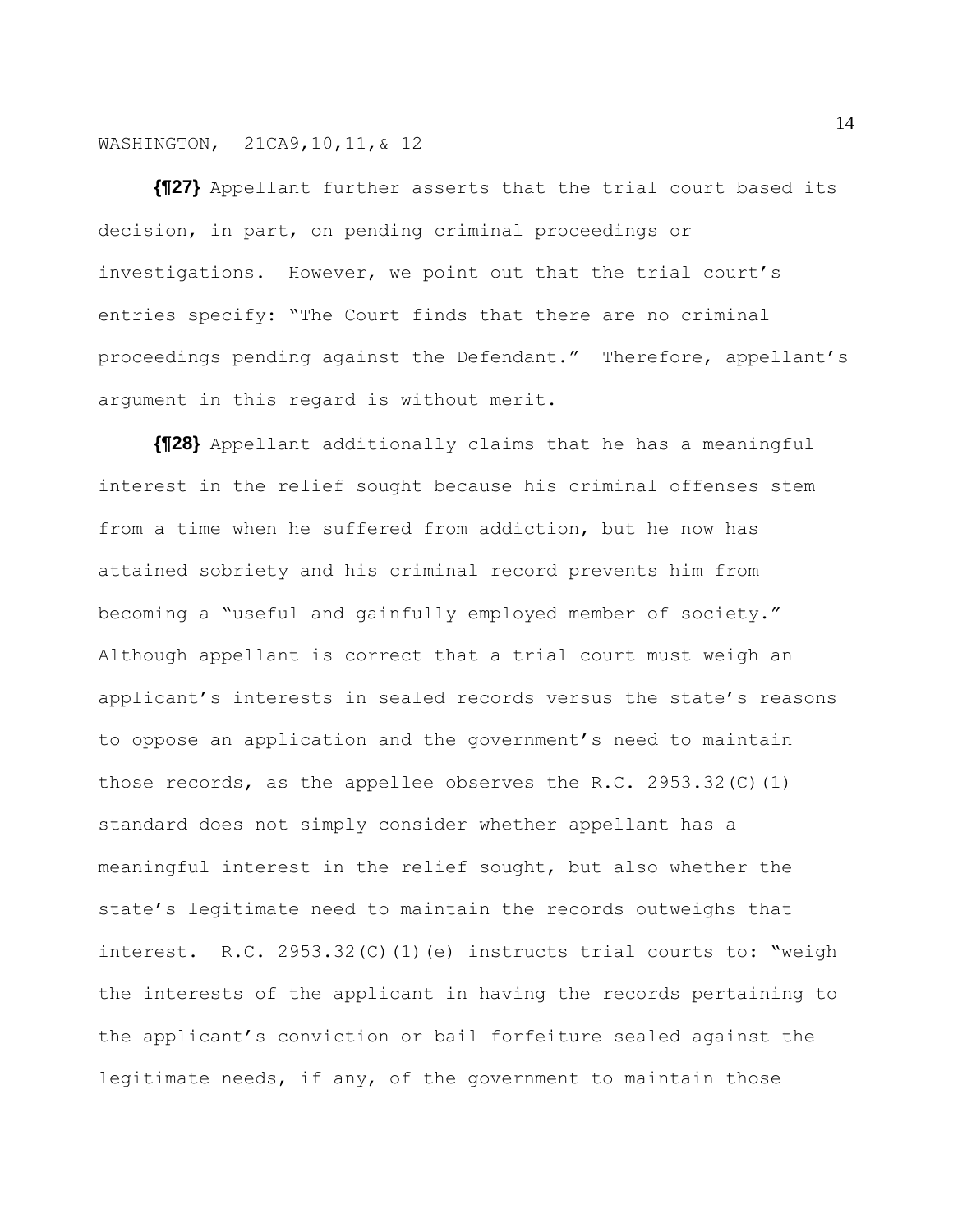**{¶27}** Appellant further asserts that the trial court based its decision, in part, on pending criminal proceedings or investigations. However, we point out that the trial court's entries specify: "The Court finds that there are no criminal proceedings pending against the Defendant." Therefore, appellant's argument in this regard is without merit.

**{¶28}** Appellant additionally claims that he has a meaningful interest in the relief sought because his criminal offenses stem from a time when he suffered from addiction, but he now has attained sobriety and his criminal record prevents him from becoming a "useful and gainfully employed member of society." Although appellant is correct that a trial court must weigh an applicant's interests in sealed records versus the state's reasons to oppose an application and the government's need to maintain those records, as the appellee observes the R.C. 2953.32(C)(1) standard does not simply consider whether appellant has a meaningful interest in the relief sought, but also whether the state's legitimate need to maintain the records outweighs that interest. R.C. 2953.32(C)(1)(e) instructs trial courts to: "weigh the interests of the applicant in having the records pertaining to the applicant's conviction or bail forfeiture sealed against the legitimate needs, if any, of the government to maintain those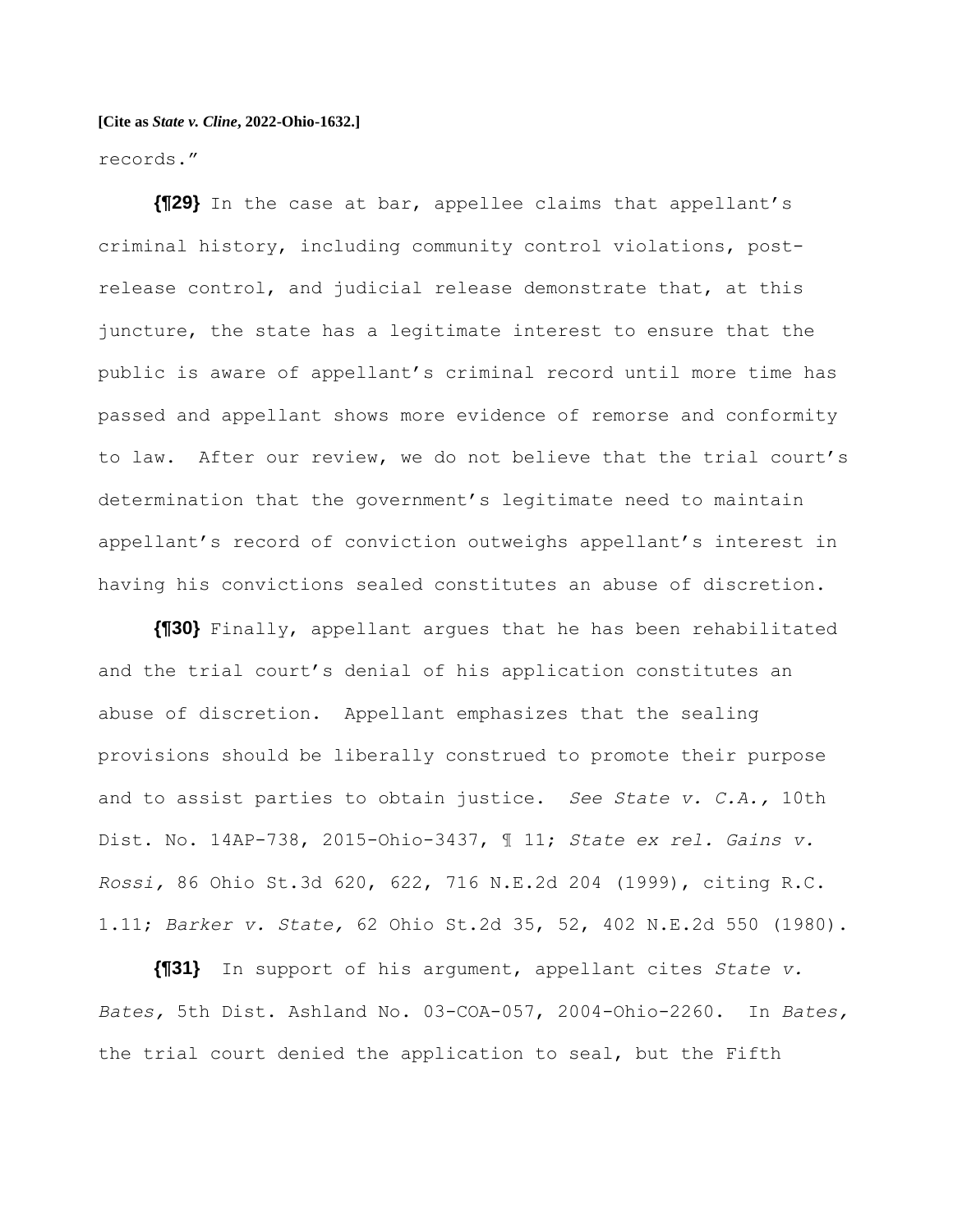records."

**{¶29}** In the case at bar, appellee claims that appellant's criminal history, including community control violations, postrelease control, and judicial release demonstrate that, at this juncture, the state has a legitimate interest to ensure that the public is aware of appellant's criminal record until more time has passed and appellant shows more evidence of remorse and conformity to law. After our review, we do not believe that the trial court's determination that the government's legitimate need to maintain appellant's record of conviction outweighs appellant's interest in having his convictions sealed constitutes an abuse of discretion.

**{¶30}** Finally, appellant argues that he has been rehabilitated and the trial court's denial of his application constitutes an abuse of discretion. Appellant emphasizes that the sealing provisions should be liberally construed to promote their purpose and to assist parties to obtain justice. *See State v. C.A.,* 10th Dist. No. 14AP-738, 2015-Ohio-3437, ¶ 11; *State ex rel. Gains v. Rossi,* 86 Ohio St.3d 620, 622, 716 N.E.2d 204 (1999), citing R.C. 1.11; *Barker v. State,* 62 Ohio St.2d 35, 52, 402 N.E.2d 550 (1980).

**{¶31}** In support of his argument, appellant cites *State v. Bates,* 5th Dist. Ashland No. 03-COA-057, 2004-Ohio-2260. In *Bates,* the trial court denied the application to seal, but the Fifth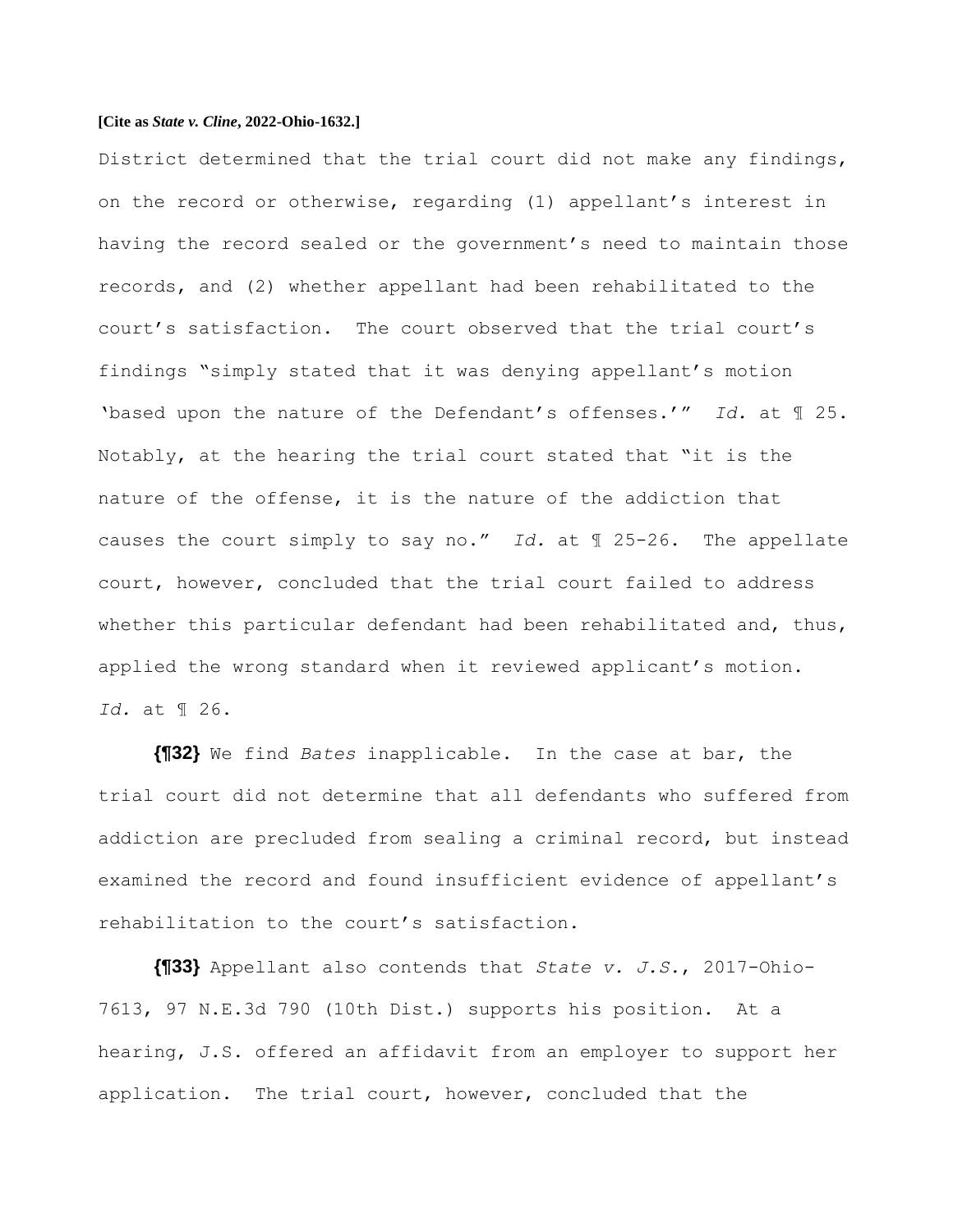District determined that the trial court did not make any findings, on the record or otherwise, regarding (1) appellant's interest in having the record sealed or the government's need to maintain those records, and (2) whether appellant had been rehabilitated to the court's satisfaction. The court observed that the trial court's findings "simply stated that it was denying appellant's motion 'based upon the nature of the Defendant's offenses.'" *Id.* at ¶ 25. Notably, at the hearing the trial court stated that "it is the nature of the offense, it is the nature of the addiction that causes the court simply to say no." *Id.* at ¶ 25-26. The appellate court, however, concluded that the trial court failed to address whether this particular defendant had been rehabilitated and, thus, applied the wrong standard when it reviewed applicant's motion. *Id.* at ¶ 26.

**{¶32}** We find *Bates* inapplicable. In the case at bar, the trial court did not determine that all defendants who suffered from addiction are precluded from sealing a criminal record, but instead examined the record and found insufficient evidence of appellant's rehabilitation to the court's satisfaction.

**{¶33}** Appellant also contends that *State v. J.S.*, 2017-Ohio-7613, 97 N.E.3d 790 (10th Dist.) supports his position. At a hearing, J.S. offered an affidavit from an employer to support her application. The trial court, however, concluded that the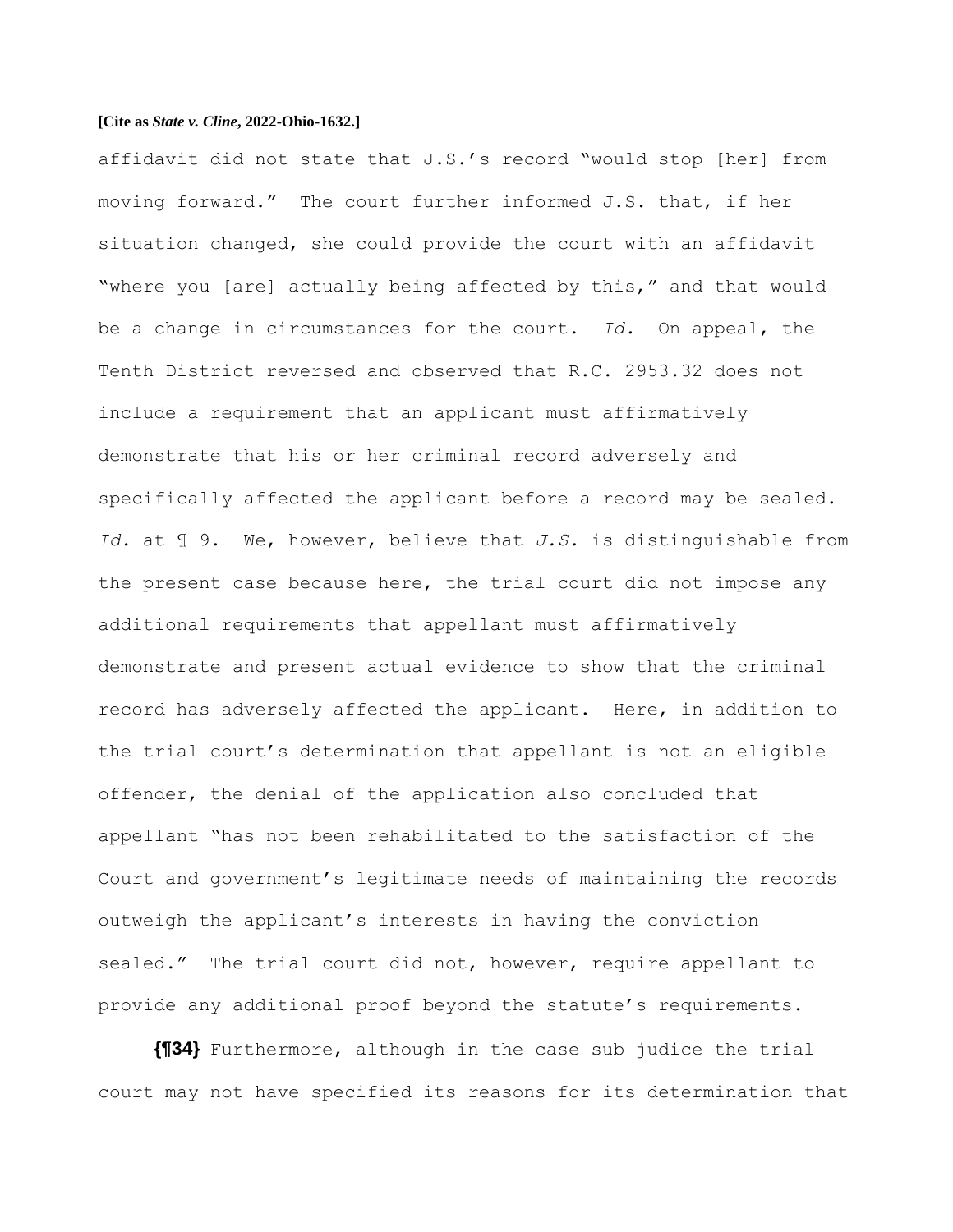affidavit did not state that J.S.'s record "would stop [her] from moving forward." The court further informed J.S. that, if her situation changed, she could provide the court with an affidavit "where you [are] actually being affected by this," and that would be a change in circumstances for the court. *Id.* On appeal, the Tenth District reversed and observed that R.C. 2953.32 does not include a requirement that an applicant must affirmatively demonstrate that his or her criminal record adversely and specifically affected the applicant before a record may be sealed. *Id.* at ¶ 9. We, however, believe that *J.S.* is distinguishable from the present case because here, the trial court did not impose any additional requirements that appellant must affirmatively demonstrate and present actual evidence to show that the criminal record has adversely affected the applicant. Here, in addition to the trial court's determination that appellant is not an eligible offender, the denial of the application also concluded that appellant "has not been rehabilitated to the satisfaction of the Court and government's legitimate needs of maintaining the records outweigh the applicant's interests in having the conviction sealed." The trial court did not, however, require appellant to provide any additional proof beyond the statute's requirements.

**{¶34}** Furthermore, although in the case sub judice the trial court may not have specified its reasons for its determination that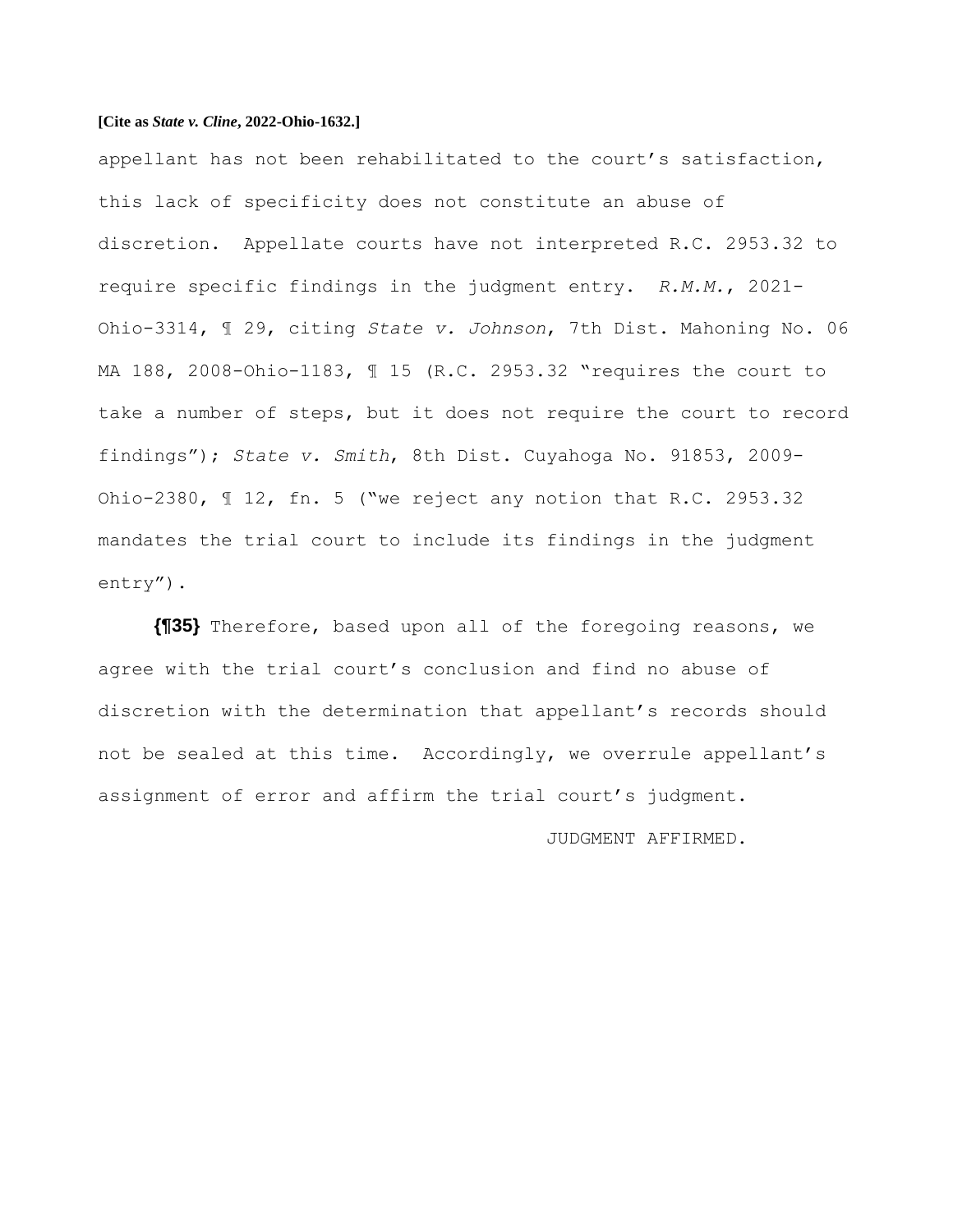appellant has not been rehabilitated to the court's satisfaction, this lack of specificity does not constitute an abuse of discretion. Appellate courts have not interpreted R.C. 2953.32 to require specific findings in the judgment entry. *R.M.M.*, 2021- Ohio-3314, ¶ 29, citing *State v. Johnson*, 7th Dist. Mahoning No. 06 MA 188, 2008-Ohio-1183, ¶ 15 (R.C. 2953.32 "requires the court to take a number of steps, but it does not require the court to record findings"); *State v. Smith*, 8th Dist. Cuyahoga No. 91853, 2009- Ohio-2380, ¶ 12, fn. 5 ("we reject any notion that R.C. 2953.32 mandates the trial court to include its findings in the judgment entry").

**{¶35}** Therefore, based upon all of the foregoing reasons, we agree with the trial court's conclusion and find no abuse of discretion with the determination that appellant's records should not be sealed at this time. Accordingly, we overrule appellant's assignment of error and affirm the trial court's judgment.

JUDGMENT AFFIRMED.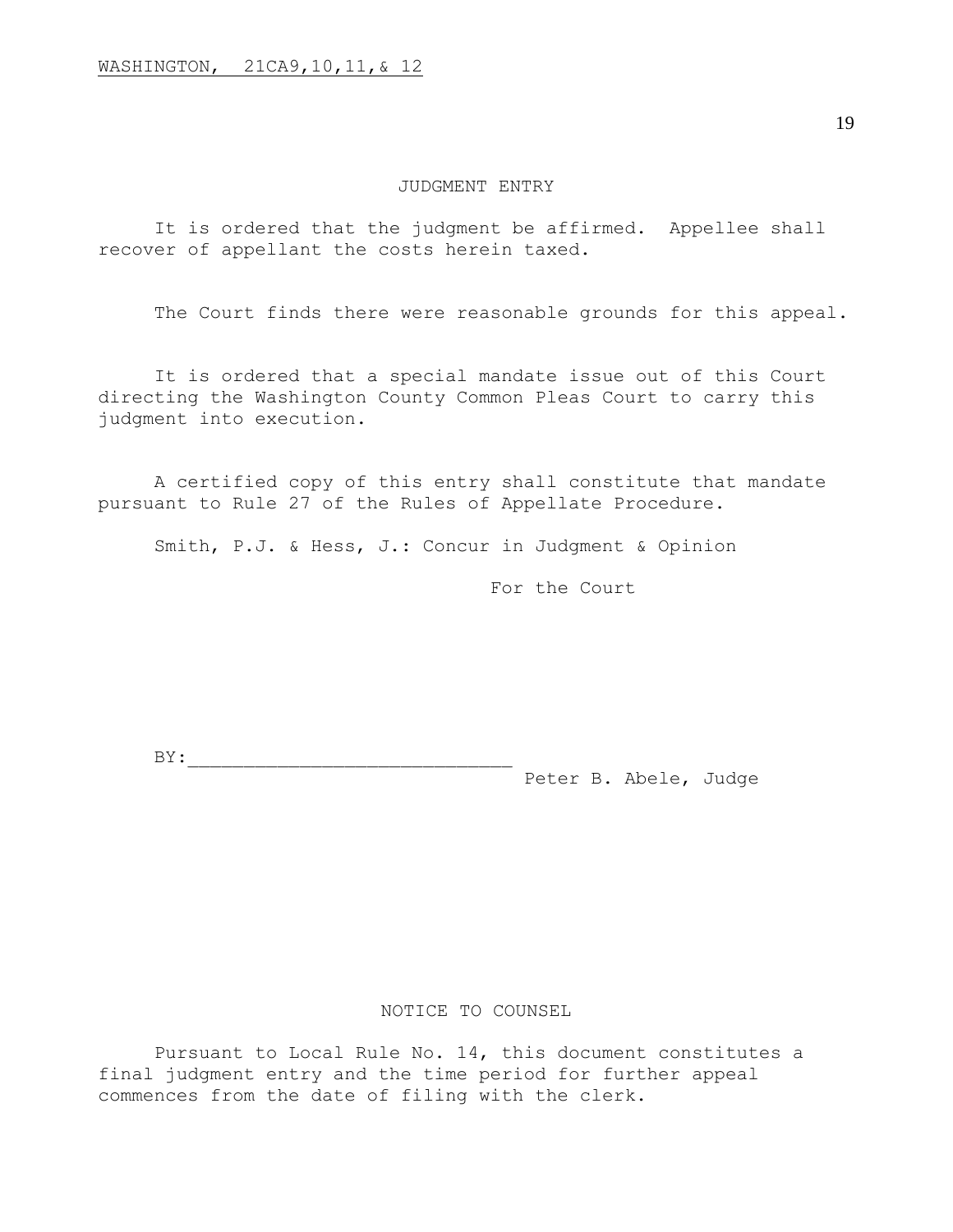#### JUDGMENT ENTRY

It is ordered that the judgment be affirmed. Appellee shall recover of appellant the costs herein taxed.

The Court finds there were reasonable grounds for this appeal.

It is ordered that a special mandate issue out of this Court directing the Washington County Common Pleas Court to carry this judgment into execution.

A certified copy of this entry shall constitute that mandate pursuant to Rule 27 of the Rules of Appellate Procedure.

Smith, P.J. & Hess, J.: Concur in Judgment & Opinion

For the Court

BY:\_\_\_\_\_\_\_\_\_\_\_\_\_\_\_\_\_\_\_\_\_\_\_\_\_\_\_\_\_

Peter B. Abele, Judge

## NOTICE TO COUNSEL

Pursuant to Local Rule No. 14, this document constitutes a final judgment entry and the time period for further appeal commences from the date of filing with the clerk.